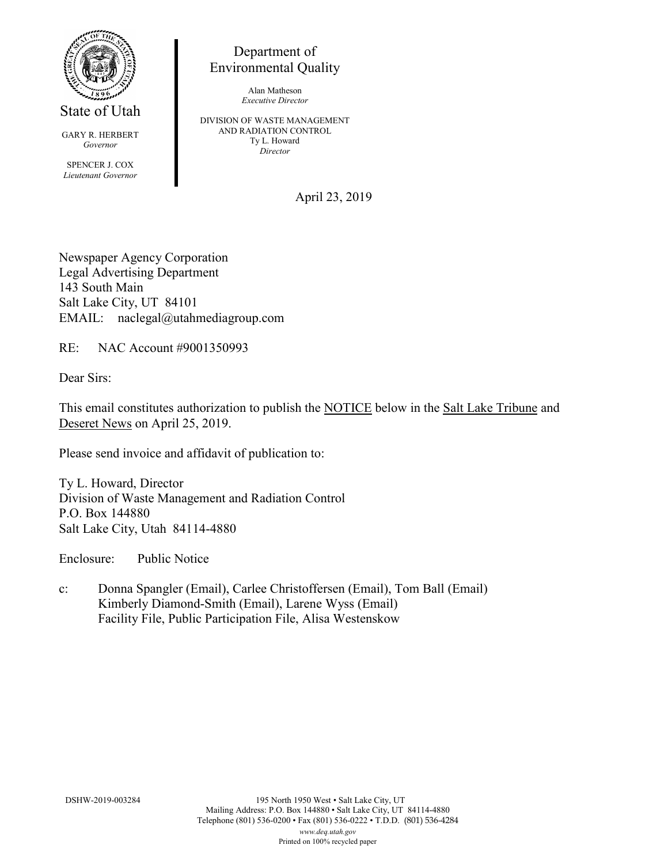

State of Utah

GARY R. HERBERT *Governor* SPENCER J. COX *Lieutenant Governor*

Department of Environmental Quality

> Alan Matheson *Executive Director*

DIVISION OF WASTE MANAGEMENT AND RADIATION CONTROL Ty L. Howard *Director*

April 23, 2019

Newspaper Agency Corporation Legal Advertising Department 143 South Main Salt Lake City, UT 84101 EMAIL: naclegal@utahmediagroup.com

RE: NAC Account #9001350993

Dear Sirs:

This email constitutes authorization to publish the NOTICE below in the Salt Lake Tribune and Deseret News on April 25, 2019.

Please send invoice and affidavit of publication to:

Ty L. Howard, Director Division of Waste Management and Radiation Control P.O. Box 144880 Salt Lake City, Utah 84114-4880

Enclosure: Public Notice

c: Donna Spangler (Email), Carlee Christoffersen (Email), Tom Ball (Email) Kimberly Diamond-Smith (Email), Larene Wyss (Email) Facility File, Public Participation File, Alisa Westenskow